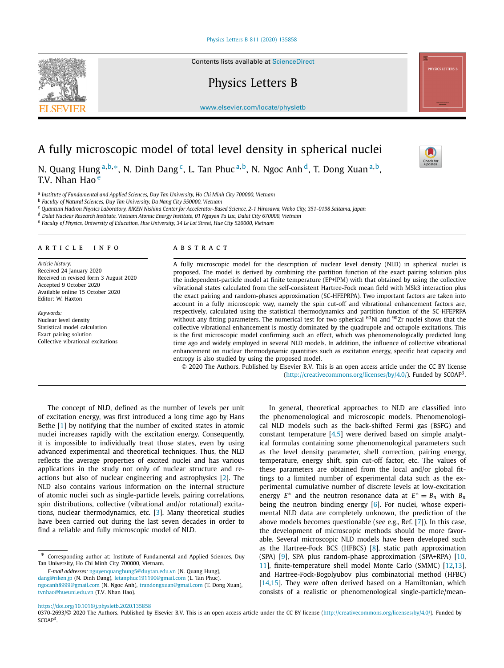Contents lists available at [ScienceDirect](http://www.ScienceDirect.com/)

Physics Letters B



# A fully microscopic model of total level density in spherical nuclei N. Quang Hung <sup>a</sup>*,*b*,*∗, N. Dinh Dang c, L. Tan Phuc <sup>a</sup>*,*b, N. Ngoc Anh d, T. Dong Xuan <sup>a</sup>*,*b,



<sup>a</sup> *Institute of Fundamental and Applied Sciences, Duy Tan University, Ho Chi Minh City 700000, Vietnam*

<sup>b</sup> *Faculty of Natural Sciences, Duy Tan University, Da Nang City 550000, Vietnam*

<sup>c</sup> Quantum Hadron Physics Laboratory, RIKEN Nishina Center for Accelerator-Based Science, 2-1 Hirosawa, Wako City, 351-0198 Saitama, Japan

<sup>d</sup> Dalat Nuclear Research Institute, Vietnam Atomic Energy Institute, 01 Nguyen Tu Luc, Dalat City 670000, Vietnam

<sup>e</sup> *Faculty of Physics, University of Education, Hue University, 34 Le Loi Street, Hue City 520000, Vietnam*

#### A R T I C L E I N F O A B S T R A C T

T.V. Nhan Hao <sup>e</sup>

*Article history:* Received 24 January 2020 Received in revised form 3 August 2020 Accepted 9 October 2020 Available online 15 October 2020 Editor: W. Haxton

*Keywords:* Nuclear level density Statistical model calculation Exact pairing solution Collective vibrational excitations

A fully microscopic model for the description of nuclear level density (NLD) in spherical nuclei is proposed. The model is derived by combining the partition function of the exact pairing solution plus the independent-particle model at finite temperature (EP+IPM) with that obtained by using the collective vibrational states calculated from the self-consistent Hartree-Fock mean field with MSk3 interaction plus the exact pairing and random-phases approximation (SC-HFEPRPA). Two important factors are taken into account in a fully microscopic way, namely the spin cut-off and vibrational enhancement factors are, respectively, calculated using the statistical thermodynamics and partition function of the SC-HFEPRPA without any fitting parameters. The numerical test for two spherical  $^{60}$ Ni and  $^{90}Zr$  nuclei shows that the collective vibrational enhancement is mostly dominated by the quadrupole and octupole excitations. This is the first microscopic model confirming such an effect, which was phenomenologically predicted long time ago and widely employed in several NLD models. In addition, the influence of collective vibrational enhancement on nuclear thermodynamic quantities such as excitation energy, specific heat capacity and entropy is also studied by using the proposed model.

© 2020 The Authors. Published by Elsevier B.V. This is an open access article under the CC BY license [\(http://creativecommons.org/licenses/by/4.0/\)](http://creativecommons.org/licenses/by/4.0/). Funded by  $SCOAP<sup>3</sup>$ .

The concept of NLD, defined as the number of levels per unit of excitation energy, was first introduced a long time ago by Hans Bethe [\[1](#page-3-0)] by notifying that the number of excited states in atomic nuclei increases rapidly with the excitation energy. Consequently, it is impossible to individually treat those states, even by using advanced experimental and theoretical techniques. Thus, the NLD reflects the average properties of excited nuclei and has various applications in the study not only of nuclear structure and reactions but also of nuclear engineering and astrophysics [[2](#page-3-0)]. The NLD also contains various information on the internal structure of atomic nuclei such as single-particle levels, pairing correlations, spin distributions, collective (vibrational and/or rotational) excitations, nuclear thermodynamics, etc. [\[3\]](#page-3-0). Many theoretical studies have been carried out during the last seven decades in order to find a reliable and fully microscopic model of NLD.

*E-mail addresses:* [nguyenquanghung5@duytan.edu.vn](mailto:nguyenquanghung5@duytan.edu.vn) (N. Quang Hung), [dang@riken.jp](mailto:dang@riken.jp) (N. Dinh Dang), [letanphuc191190@gmail.com](mailto:letanphuc191190@gmail.com) (L. Tan Phuc), [ngocanh8999@gmail.com](mailto:ngocanh8999@gmail.com) (N. Ngoc Anh), [trandongxuan@gmail.com](mailto:trandongxuan@gmail.com) (T. Dong Xuan), [tvnhao@hueuni.edu.vn](mailto:tvnhao@hueuni.edu.vn) (T.V. Nhan Hao).

In general, theoretical approaches to NLD are classified into the phenomenological and microscopic models. Phenomenological NLD models such as the back-shifted Fermi gas (BSFG) and constant temperature [\[4,5](#page-3-0)] were derived based on simple analytical formulas containing some phenomenological parameters such as the level density parameter, shell correction, pairing energy, temperature, energy shift, spin cut-off factor, etc. The values of these parameters are obtained from the local and/or global fittings to a limited number of experimental data such as the experimental cumulative number of discrete levels at low-excitation energy  $E^*$  and the neutron resonance data at  $E^* = B_n$  with  $B_n$ being the neutron binding energy [\[6\]](#page-3-0). For nuclei, whose experimental NLD data are completely unknown, the prediction of the above models becomes questionable (see e.g., Ref. [[7](#page-3-0)]). In this case, the development of microscopic methods should be more favorable. Several microscopic NLD models have been developed such as the Hartree-Fock BCS (HFBCS) [[8](#page-3-0)], static path approximation (SPA) [\[9\]](#page-3-0), SPA plus random-phase approximation (SPA+RPA) [\[10,](#page-3-0) [11\]](#page-4-0), finite-temperature shell model Monte Carlo (SMMC) [[12,13\]](#page-4-0), and Hartree-Fock-Bogolyubov plus combinatorial method (HFBC) [\[14,15\]](#page-4-0). They were often derived based on a Hamiltonian, which consists of a realistic or phenomenological single-particle/mean-

<https://doi.org/10.1016/j.physletb.2020.135858>

0370-2693/© 2020 The Authors. Published by Elsevier B.V. This is an open access article under the CC BY license [\(http://creativecommons.org/licenses/by/4.0/](http://creativecommons.org/licenses/by/4.0/)). Funded by SCOAP<sup>3</sup>.

<sup>\*</sup> Corresponding author at: Institute of Fundamental and Applied Sciences, Duy Tan University, Ho Chi Minh City 700000, Vietnam.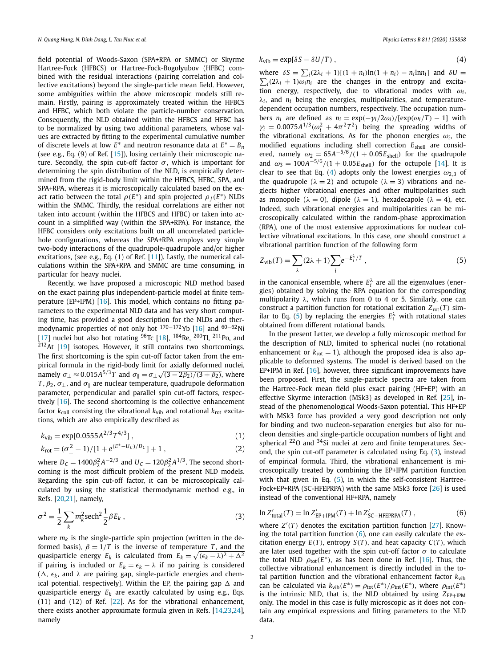<span id="page-1-0"></span>field potential of Woods-Saxon (SPA+RPA or SMMC) or Skyrme Hartree-Fock (HFBCS) or Hartree-Fock-Bogolyubov (HFBC) combined with the residual interactions (pairing correlation and collective excitations) beyond the single-particle mean field. However, some ambiguities within the above microscopic models still remain. Firstly, pairing is approximately treated within the HFBCS and HFBC, which both violate the particle-number conservation. Consequently, the NLD obtained within the HFBCS and HFBC has to be normalized by using two additional parameters, whose values are extracted by fitting to the experimental cumulative number of discrete levels at low  $E^*$  and neutron resonance data at  $E^* = B_n$ (see e.g., Eq. (9) of Ref. [\[15](#page-4-0)]), losing certainly their microscopic nature. Secondly, the spin cut-off factor  $\sigma$ , which is important for determining the spin distribution of the NLD, is empirically determined from the rigid-body limit within the HFBCS, HFBC, SPA, and SPA+RPA, whereas it is microscopically calculated based on the exact ratio between the total  $\rho(E^*)$  and spin projected  $\rho_I(E^*)$  NLDs within the SMMC. Thirdly, the residual correlations are either not taken into account (within the HFBCS and HFBC) or taken into account in a simplified way (within the SPA+RPA). For instance, the HFBC considers only excitations built on all uncorrelated particlehole configurations, whereas the SPA+RPA employs very simple two-body interactions of the quadrupole-quadrupole and/or higher excitations, (see e.g., Eq. (1) of Ref. [\[11\]](#page-4-0)). Lastly, the numerical calculations within the SPA+RPA and SMMC are time consuming, in particular for heavy nuclei.

Recently, we have proposed a microscopic NLD method based on the exact pairing plus independent-particle model at finite temperature (EP+IPM) [\[16\]](#page-4-0). This model, which contains no fitting parameters to the experimental NLD data and has very short computing time, has provided a good description for the NLDs and thermodynamic properties of not only hot <sup>170</sup>−172Yb [\[16\]](#page-4-0) and <sup>60</sup>−62Ni [\[17\]](#page-4-0) nuclei but also hot rotating  $^{96}$ Tc [\[18](#page-4-0)],  $^{184}$ Re,  $^{200}$ Tl,  $^{211}$ Po, and  $212$ At [\[19](#page-4-0)] isotopes. However, it still contains two shortcomings. The first shortcoming is the spin cut-off factor taken from the empirical formula in the rigid-body limit for axially deformed nuclei, namely  $\sigma_{\perp} \approx 0.015 A^{5/3}T$  and  $\sigma_{\parallel} = \sigma_{\perp} \sqrt{(3 - 2\beta_2)/(3 + \beta_2)}$ , where *T*,  $\beta_2$ ,  $\sigma_{\perp}$ , and  $\sigma_{\parallel}$  are nuclear temperature, quadrupole deformation parameter, perpendicular and parallel spin cut-off factors, respectively [[16](#page-4-0)]. The second shortcoming is the collective enhancement factor  $k_{\text{coll}}$  consisting the vibrational  $k_{\text{vib}}$  and rotational  $k_{\text{rot}}$  excitations, which are also empirically described as

$$
k_{\rm vib} = \exp[0.0555A^{2/3}T^{4/3}], \qquad (1)
$$

$$
k_{\rm rot} = (\sigma_{\perp}^2 - 1)/[1 + e^{(E^* - U_C)/D_C}] + 1,
$$
 (2)

where  $D_C = 1400\beta_2^2 A^{-2/3}$  and  $U_C = 120\beta_2^2 A^{1/3}$ . The second shortcoming is the most difficult problem of the present NLD models. Regarding the spin cut-off factor, it can be microscopically calculated by using the statistical thermodynamic method e.g., in Refs. [\[20,21\]](#page-4-0), namely,

$$
\sigma^2 = \frac{1}{2} \sum_k m_k^2 \operatorname{sech}^2 \frac{1}{2} \beta E_k , \qquad (3)
$$

where  $m_k$  is the single-particle spin projection (written in the deformed basis),  $\beta = 1/T$  is the inverse of temperature *T*, and the quasiparticle energy  $E_k$  is calculated from  $E_k = \sqrt{(\epsilon_k - \lambda)^2 + \Delta^2}$ if pairing is included or  $E_k = \epsilon_k - \lambda$  if no pairing is considered ( $\Delta$ ,  $\epsilon_k$ , and  $\lambda$  are pairing gap, single-particle energies and chemical potential, respectively). Within the EP, the pairing gap  $\Delta$  and quasiparticle energy *Ek* are exactly calculated by using e.g., Eqs. (11) and (12) of Ref. [\[22\]](#page-4-0). As for the vibrational enhancement, there exists another approximate formula given in Refs. [\[14,23,24\]](#page-4-0), namely

$$
k_{\rm vib} = \exp[\delta S - \delta U/T), \qquad (4)
$$

where  $\delta S = \sum_i (2\lambda_i + 1)[(1 + n_i)\ln(1 + n_i) - n_i \ln n_i]$  and  $\delta U =$  $\sum_i (2\lambda_i + 1)\omega_i n_i$  are the changes in the entropy and excitation energy, respectively, due to vibrational modes with  $\omega_i$ ,  $\lambda_i$ , and  $n_i$  being the energies, multipolarities, and temperaturedependent occupation numbers, respectively. The occupation numbers *n<sub>i</sub>* are defined as  $n_i = \exp(-\gamma_i/2\omega_i)/[\exp(\omega_i/T) - 1]$  with  $\gamma_i = 0.0075A^{1/3}(\omega_i^2 + 4\pi^2T^2)$  being the spreading widths of the vibrational excitations. As for the phonon energies  $\omega_i$ , the modified equations including shell correction *E*shell are considered, namely  $\omega_2 = 65A^{-5/6}/(1 + 0.05E_{shell})$  for the quadrupole and  $\omega_3 = 100A^{-5/6}/(1 + 0.05E_{shell})$  for the octupole [[14](#page-4-0)]. It is clear to see that Eq. (4) adopts only the lowest energies  $\omega_{2,3}$  of the quadrupole ( $\lambda = 2$ ) and octupole ( $\lambda = 3$ ) vibrations and neglects higher vibrational energies and other multipolarities such as monopole ( $\lambda = 0$ ), dipole ( $\lambda = 1$ ), hexadecapole ( $\lambda = 4$ ), etc. Indeed, such vibrational energies and multipolarities can be microscopically calculated within the random-phase approximation (RPA), one of the most extensive approximations for nuclear collective vibrational excitations. In this case, one should construct a vibrational partition function of the following form

$$
Z_{\text{vib}}(T) = \sum_{\lambda} (2\lambda + 1) \sum_{i} e^{-E_{i}^{\lambda}/T} , \qquad (5)
$$

in the canonical ensemble, where  $E_i^{\lambda}$  are all the eigenvalues (energies) obtained by solving the RPA equation for the corresponding multipolarity *λ*, which runs from 0 to 4 or 5. Similarly, one can construct a partition function for rotational excitation  $Z_{\text{rot}}(T)$  similar to Eq. (5) by replacing the energies  $E_i^{\lambda}$  with rotational states obtained from different rotational bands.

In the present Letter, we develop a fully microscopic method for the description of NLD, limited to spherical nuclei (no rotational enhancement or  $k_{\text{rot}} = 1$ ), although the proposed idea is also applicable to deformed systems. The model is derived based on the EP+IPM in Ref. [\[16](#page-4-0)], however, three significant improvements have been proposed. First, the single-particle spectra are taken from the Hartree-Fock mean field plus exact pairing (HF+EP) with an effective Skyrme interaction (MSk3) as developed in Ref. [[25\]](#page-4-0), instead of the phenomenological Woods-Saxon potential. This HF+EP with MSk3 force has provided a very good description not only for binding and two nucleon-separation energies but also for nucleon densities and single-particle occupation numbers of light and spherical <sup>22</sup>O and <sup>34</sup>Si nuclei at zero and finite temperatures. Second, the spin cut-off parameter is calculated using Eq. (3), instead of empirical formula. Third, the vibrational enhancement is microscopically treated by combining the EP+IPM partition function with that given in Eq. (5), in which the self-consistent Hartree-Fock+EP+RPA (SC-HFEPRPA) with the same MSk3 force [[26\]](#page-4-0) is used instead of the conventional HF+RPA, namely

$$
\ln Z'_{\text{total}}(T) = \ln Z'_{\text{EP+IPM}}(T) + \ln Z'_{\text{SC-HFEPRPA}}(T) ,\qquad (6)
$$

where *Z (T )* denotes the excitation partition function [[27](#page-4-0)]. Knowing the total partition function  $(6)$ , one can easily calculate the excitation energy  $E(T)$ , entropy  $S(T)$ , and heat capacity  $C(T)$ , which are later used together with the spin cut-off factor *σ* to calculate the total NLD  $\rho_{tot}(E^*)$ , as has been done in Ref. [[16](#page-4-0)]. Thus, the collective vibrational enhancement is directly included in the total partition function and the vibrational enhancement factor *k*vib can be calculated via  $k_{vib}(E^*) = \rho_{tot}(E^*)/\rho_{int}(E^*)$ , where  $\rho_{int}(E^*)$ is the intrinsic NLD, that is, the NLD obtained by using  $Z_{\text{EP+IPM}}$ only. The model in this case is fully microscopic as it does not contain any empirical expressions and fitting parameters to the NLD data.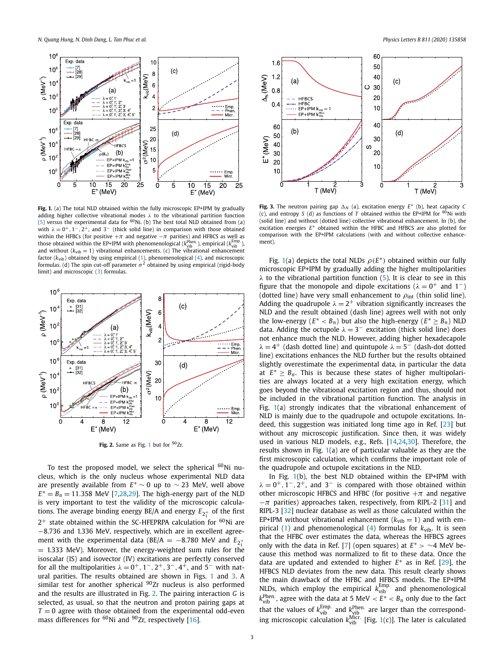<span id="page-2-0"></span>

**Fig. 1.** (a) The total NLD obtained within the fully microscopic EP+IPM by gradually adding higher collective vibrational modes *λ* to the vibrational partition function ([5\)](#page-1-0) versus the experimental data for  $60$ Ni. (b) The best total NLD obtained from (a) with  $\lambda = 0^+, 1^-, 2^+,$  and  $3^-$  (thick solid line) in comparison with those obtained within the HFBCs (for positive  $+\pi$  and negative  $-\pi$  parities) and HFBCS as well as those obtained within the EP+IPM with phenomenological ( $k_{\text{vib}}^{\text{Phen.}}$ ), empirical ( $k_{\text{vib}}^{\text{Emp.}}$ ), and without  $(k_{vib} = 1)$  vibrational enhancements. (c) The vibrational enhancement factor (*k*vib) obtained by using empirical [\(1\)](#page-1-0), phenomenological ([4](#page-1-0)), and microscopic formulas. (d) The spin cut-off parameter  $\sigma^2$  obtained by using empirical (rigid-body limit) and microscopic ([3](#page-1-0)) formulas.



Fig. 2. Same as Fig. 1 but for  $90Zr$ .

To test the proposed model, we select the spherical  $60$ Ni nucleus, which is the only nucleus whose experimental NLD data are presently available from *E*<sup>∗</sup> ∼ 0 up to ∼ 23 MeV, well above  $E^* = B_n = 11.358$  MeV [\[7](#page-3-0)[,28,29\]](#page-4-0). The high-energy part of the NLD is very important to test the validity of the microscopic calculations. The average binding energy BE/A and energy  $E_{2^{+}_{1}}$  of the first  $2^+$  state obtained within the SC-HFEPRPA calculation for  $^{60}$ Ni are −8.736 and 1.336 MeV, respectively, which are in excellent agreement with the experimental data (BE/A =  $-8.780$  MeV and  $E_{2+}$  $=$  1.333 MeV). Moreover, the energy-weighted sum rules for the isoscalar (IS) and isovector (IV) excitations are perfectly conserved for all the multipolarities  $\lambda = 0^+, 1^-, 2^+, 3^-, 4^+,$  and  $5^-$  with natural parities. The results obtained are shown in Figs. 1 and 3. A similar test for another spherical  $90Zr$  nucleus is also performed and the results are illustrated in Fig. 2. The pairing interaction *G* is selected, as usual, so that the neutron and proton pairing gaps at  $T = 0$  agree with those obtained from the experimental odd-even mass differences for  $^{60}$ Ni and  $^{90}$ Zr, respectively [\[16\]](#page-4-0).



**Fig. 3.** The neutron pairing gap  $\Delta_N$  (a), excitation energy  $E^*$  (b), heat capacity *C* (c), and entropy *S* (d) as functions of *T* obtained within the EP+IPM for  $^{60}$ Ni with (solid line) and without (dotted line) collective vibrational enhancement. In (b), the excitation energies *E*∗ obtained within the HFBC and HFBCS are also plotted for comparison with the EP+IPM calculations (with and without collective enhancement).

Fig. 1(a) depicts the total NLDs  $\rho(E^*)$  obtained within our fully microscopic EP+IPM by gradually adding the higher multipolarities *λ* to the vibrational partition function [\(5\)](#page-1-0). It is clear to see in this figure that the monopole and dipole excitations ( $\lambda = 0^+$  and 1<sup>-</sup>) (dotted line) have very small enhancement to  $\rho_{\text{int}}$  (thin solid line). Adding the quadrupole  $\lambda = 2^+$  vibration significantly increases the NLD and the result obtained (dash line) agrees well with not only the low-energy ( $E^* < B_n$ ) but also the high-energy ( $E^* \geq B_n$ ) NLD data. Adding the octupole  $\lambda = 3^-$  excitation (thick solid line) does not enhance much the NLD. However, adding higher hexadecapole  $\lambda = 4^+$  (dash dotted line) and quintupole  $\lambda = 5^-$  (dash-dot dotted line) excitations enhances the NLD further but the results obtained slightly overestimate the experimental data, in particular the data at *E*<sup>∗</sup> ≥ *Bn*. This is because these states of higher multipolarities are always located at a very high excitation energy, which goes beyond the vibrational excitation region and thus, should not be included in the vibrational partition function. The analysis in Fig. 1(a) strongly indicates that the vibrational enhancement of NLD is mainly due to the quadrupole and octupole excitations. Indeed, this suggestion was initiated long time ago in Ref. [[23\]](#page-4-0) but without any microscopic justification. Since then, it was widely used in various NLD models, e.g., Refs. [\[14,24,30\]](#page-4-0). Therefore, the results shown in Fig.  $1(a)$  are of particular valuable as they are the first microscopic calculation, which confirms the important role of the quadrupole and octupole excitations in the NLD.

In Fig. 1(b), the best NLD obtained within the EP+IPM with  $\lambda = 0^{+}$ , 1<sup>-</sup>, 2<sup>+</sup>, and 3<sup>-</sup> is compared with those obtained within other microscopic HFBCS and HFBC (for positive  $+\pi$  and negative  $-\pi$  parities) approaches taken, respectively, from RIPL-2 [\[31\]](#page-4-0) and RIPL-3 [\[32](#page-4-0)] nuclear database as well as those calculated within the EP+IPM without vibrational enhancement ( $k_{vib} = 1$ ) and with em-pirical ([1](#page-1-0)) and phenomenological [\(4\)](#page-1-0) formulas for  $k_{vib}$ . It is seen that the HFBC over estimates the data, whereas the HFBCS agrees only with the data in Ref. [[7](#page-3-0)] (open squares) at *E*<sup>∗</sup> *>* ∼4 MeV because this method was normalized to fit to these data. Once the data are updated and extended to higher *E*∗ as in Ref. [[29\]](#page-4-0), the HFBCS NLD deviates from the new data. This result clearly shows the main drawback of the HFBC and HFBCS models. The EP+IPM NLDs, which employ the empirical  $k_{\text{vib}}^{\text{Emp.}}$  and phenomenological  $k_{\text{vib}}^{\text{Phen.}}$ , agree with the data at 5 MeV  $\lt E^* \lt B_n$  only due to the fact that the values of  $k_{\text{vib}}^{\text{Emp.}}$  and  $k_{\text{vib}}^{\text{Phen.}}$  are larger than the corresponding microscopic calculation  $k_{\text{vib}}^{\text{Micro.}}$  [Fig. 1(c)]. The later is calculated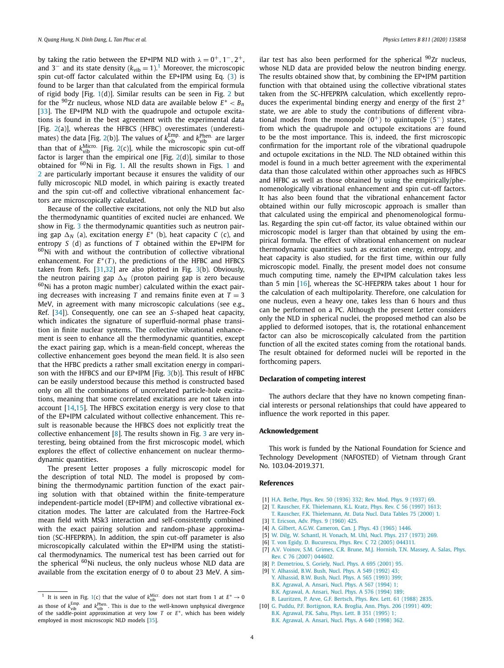<span id="page-3-0"></span>by taking the ratio between the EP+IPM NLD with  $\lambda = 0^+, 1^-, 2^+,$ and 3<sup>-</sup> and its state density  $(k_{vib} = 1)$ .<sup>1</sup> Moreover, the microscopic spin cut-off factor calculated within the EP+IPM using Eq. [\(3\)](#page-1-0) is found to be larger than that calculated from the empirical formula of rigid body [Fig. [1\(](#page-2-0)d)]. Similar results can be seen in Fig. [2](#page-2-0) but for the <sup>90</sup>Zr nucleus, whose NLD data are available below  $E^* < B_n$ [\[33\]](#page-4-0). The EP+IPM NLD with the quadrupole and octupole excitations is found in the best agreement with the experimental data [Fig. [2](#page-2-0)(a)], whereas the HFBCS (HFBC) overestimates (underesti-mates) the data [Fig. [2\(](#page-2-0)b)]. The values of  $k_{\rm vib}^{\rm Emp.}$  and  $k_{\rm vib}^{\rm Phen.}$  are larger than that of *k*<sup>M</sup>i<sup>cro.</sup> [Fig. [2](#page-2-0)(c)], while the microscopic spin cut-off factor is larger than the empirical one [Fig. 2(d)], similar to those obtained for 60Ni in Fig. [1](#page-2-0). All the results shown in Figs. [1](#page-2-0) and [2](#page-2-0) are particularly important because it ensures the validity of our fully microscopic NLD model, in which pairing is exactly treated and the spin cut-off and collective vibrational enhancement factors are microscopically calculated.

Because of the collective excitations, not only the NLD but also the thermodynamic quantities of excited nuclei are enhanced. We show in Fig. [3](#page-2-0) the thermodynamic quantities such as neutron pairing gap  $\Delta_N$  (a), excitation energy  $E^*$  (b), heat capacity *C* (c), and entropy *S* (d) as functions of *T* obtained within the EP+IPM for  $60$ Ni with and without the contribution of collective vibrational enhancement. For  $E^*(T)$ , the predictions of the HFBC and HFBCS taken from Refs. [\[31,32\]](#page-4-0) are also plotted in Fig. [3](#page-2-0)(b). Obviously, the neutron pairing gap  $\Delta_N$  (proton pairing gap is zero because  $60$ Ni has a proton magic number) calculated within the exact pairing decreases with increasing *T* and remains finite even at  $T = 3$ MeV, in agreement with many microscopic calculations (see e.g., Ref. [\[34](#page-4-0)]). Consequently, one can see an *S*-shaped heat capacity, which indicates the signature of superfluid-normal phase transition in finite nuclear systems. The collective vibrational enhancement is seen to enhance all the thermodynamic quantities, except the exact pairing gap, which is a mean-field concept, whereas the collective enhancement goes beyond the mean field. It is also seen that the HFBC predicts a rather small excitation energy in comparison with the HFBCS and our EP+IPM [Fig. [3](#page-2-0)(b)]. This result of HFBC can be easily understood because this method is constructed based only on all the combinations of uncorrelated particle-hole excitations, meaning that some correlated excitations are not taken into account [[14,15](#page-4-0)]. The HFBCS excitation energy is very close to that of the EP+IPM calculated without collective enhancement. This result is reasonable because the HFBCS does not explicitly treat the collective enhancement  $[8]$ . The results shown in Fig. [3](#page-2-0) are very interesting, being obtained from the first microscopic model, which explores the effect of collective enhancement on nuclear thermodynamic quantities.

The present Letter proposes a fully microscopic model for the description of total NLD. The model is proposed by combining the thermodynamic partition function of the exact pairing solution with that obtained within the finite-temperature independent-particle model (EP+IPM) and collective vibrational excitation modes. The latter are calculated from the Hartree-Fock mean field with MSk3 interaction and self-consistently combined with the exact pairing solution and random-phase approximation (SC-HFEPRPA). In addition, the spin cut-off parameter is also microscopically calculated within the EP+IPM using the statistical thermodynamics. The numerical test has been carried out for the spherical <sup>60</sup>Ni nucleus, the only nucleus whose NLD data are available from the excitation energy of 0 to about 23 MeV. A similar test has also been performed for the spherical  $90Zr$  nucleus, whose NLD data are provided below the neutron binding energy. The results obtained show that, by combining the EP+IPM partition function with that obtained using the collective vibrational states taken from the SC-HFEPRPA calculation, which excellently reproduces the experimental binding energy and energy of the first  $2^+$ state, we are able to study the contributions of different vibrational modes from the monopole  $(0^+)$  to quintupole  $(5^-)$  states, from which the quadrupole and octupole excitations are found to be the most importance. This is, indeed, the first microscopic confirmation for the important role of the vibrational quadrupole and octupole excitations in the NLD. The NLD obtained within this model is found in a much better agreement with the experimental data than those calculated within other approaches such as HFBCS and HFBC as well as those obtained by using the empirically/phenomenologically vibrational enhancement and spin cut-off factors. It has also been found that the vibrational enhancement factor obtained within our fully microscopic approach is smaller than that calculated using the empirical and phenomenological formulas. Regarding the spin cut-off factor, its value obtained within our microscopic model is larger than that obtained by using the empirical formula. The effect of vibrational enhancement on nuclear thermodynamic quantities such as excitation energy, entropy, and heat capacity is also studied, for the first time, within our fully microscopic model. Finally, the present model does not consume much computing time, namely the EP+IPM calculation takes less than 5 min [[16\]](#page-4-0), whereas the SC-HFEPRPA takes about 1 hour for the calculation of each multipolarity. Therefore, one calculation for one nucleus, even a heavy one, takes less than 6 hours and thus can be performed on a PC. Although the present Letter considers only the NLD in spherical nuclei, the proposed method can also be applied to deformed isotopes, that is, the rotational enhancement factor can also be microscopically calculated from the partition function of all the excited states coming from the rotational bands. The result obtained for deformed nuclei will be reported in the forthcoming papers.

### **Declaration of competing interest**

The authors declare that they have no known competing financial interests or personal relationships that could have appeared to influence the work reported in this paper.

#### **Acknowledgement**

This work is funded by the National Foundation for Science and Technology Development (NAFOSTED) of Vietnam through Grant No. 103.04-2019.371.

## **References**

- [1] H.A. Bethe, Phys. Rev. 50 (1936) 332; Rev. Mod. Phys. 9 [\(1937\)](http://refhub.elsevier.com/S0370-2693(20)30661-4/bib5F457030277CD31932BD2E3A71F0BDDAs1) 69.
- [2] T. Rauscher, F.K. [Thielemann,](http://refhub.elsevier.com/S0370-2693(20)30661-4/bib4D5955E5424D474BA0FF73A18AE91542s1) K.L. Kratz, Phys. Rev. C 56 (1997) 1613; T. Rauscher, F.K. [Thielemann,](http://refhub.elsevier.com/S0370-2693(20)30661-4/bib4D5955E5424D474BA0FF73A18AE91542s2) At. Data Nucl. Data Tables 75 (2000) 1.
- [3] T. [Ericson,](http://refhub.elsevier.com/S0370-2693(20)30661-4/bib39FFB46420CD88EBC3A58D35F1A7D7AAs1) Adv. Phys. 9 (1960) 425.
- [4] A. Gilbert, A.G.W. [Cameron,](http://refhub.elsevier.com/S0370-2693(20)30661-4/bib652E9DA253B05E1822384BBA0157FC65s1) Can. J. Phys. 43 (1965) 1446.
- [5] W. Dilg, W. Schantl, H. [Vonach,](http://refhub.elsevier.com/S0370-2693(20)30661-4/bibDEA19950D339F7060FB46A0FF61EBCE2s1) M. Uhl, Nucl. Phys. 217 (1973) 269.
- [6] T. von Egidy, D. [Bucurescu,](http://refhub.elsevier.com/S0370-2693(20)30661-4/bib805CBFAC49D43B5BC3F5F8F3DE54931Ds1) Phys. Rev. C 72 (2005) 044311.
- [7] A.V. Voinov, S.M. Grimes, C.R. Brune, M.J. [Hornish,](http://refhub.elsevier.com/S0370-2693(20)30661-4/bibA4EBD4E79C6F2F9201384538DB0C22FEs1) T.N. Massey, A. Salas, Phys. Rev. C 76 (2007) [044602.](http://refhub.elsevier.com/S0370-2693(20)30661-4/bibA4EBD4E79C6F2F9201384538DB0C22FEs1)
- [8] P. [Demetriou,](http://refhub.elsevier.com/S0370-2693(20)30661-4/bib8FB305FC6916C2B5625D80C5F772DF4Es1) S. Goriely, Nucl. Phys. A 695 (2001) 95.
- [9] Y. [Alhassid,](http://refhub.elsevier.com/S0370-2693(20)30661-4/bibAA491DF98D63F0894F18087BB142D472s1) B.W. Bush, Nucl. Phys. A 549 (1992) 43;
	- Y. [Alhassid,](http://refhub.elsevier.com/S0370-2693(20)30661-4/bibAA491DF98D63F0894F18087BB142D472s2) B.W. Bush, Nucl. Phys. A 565 (1993) 399;
	- B.K. [Agrawal,](http://refhub.elsevier.com/S0370-2693(20)30661-4/bibAA491DF98D63F0894F18087BB142D472s3) A. Ansari, Nucl. Phys. A 567 (1994) 1;
	- B.K. [Agrawal,](http://refhub.elsevier.com/S0370-2693(20)30661-4/bibAA491DF98D63F0894F18087BB142D472s4) A. Ansari, Nucl. Phys. A 576 (1994) 189;
- B. [Lauritzen,](http://refhub.elsevier.com/S0370-2693(20)30661-4/bibAA491DF98D63F0894F18087BB142D472s5) P. Arve, G.F. Bertsch, Phys. Rev. Lett. 61 (1988) 2835.
- [10] G. Puddu, P.F. [Bortignon,](http://refhub.elsevier.com/S0370-2693(20)30661-4/bibE07DF47235C6C628841C04AC815413AAs1) R.A. Broglia, Ann. Phys. 206 (1991) 409;
	- B.K. [Agrawal,](http://refhub.elsevier.com/S0370-2693(20)30661-4/bibE07DF47235C6C628841C04AC815413AAs2) P.K. Sahu, Phys. Lett. B 351 (1995) 1;
	- B.K. [Agrawal,](http://refhub.elsevier.com/S0370-2693(20)30661-4/bibE07DF47235C6C628841C04AC815413AAs3) A. Ansari, Nucl. Phys. A 640 (1998) 362.

<sup>&</sup>lt;sup>1</sup> It is seen in Fig. [1\(](#page-2-0)c) that the value of  $k_{vib}^{\text{Micro.}}$  does not start from 1 at  $E^* \rightarrow 0$ as those of  $k_{\text{vib}}^{\text{Emp.}}$  and  $k_{\text{vib}}^{\text{Phen.}}$  This is due to the well-known unphysical divergence of the saddle-point approximation at very low *T* or  $E^*$ , which has been widely employed in most microscopic NLD models [\[35\]](#page-4-0).